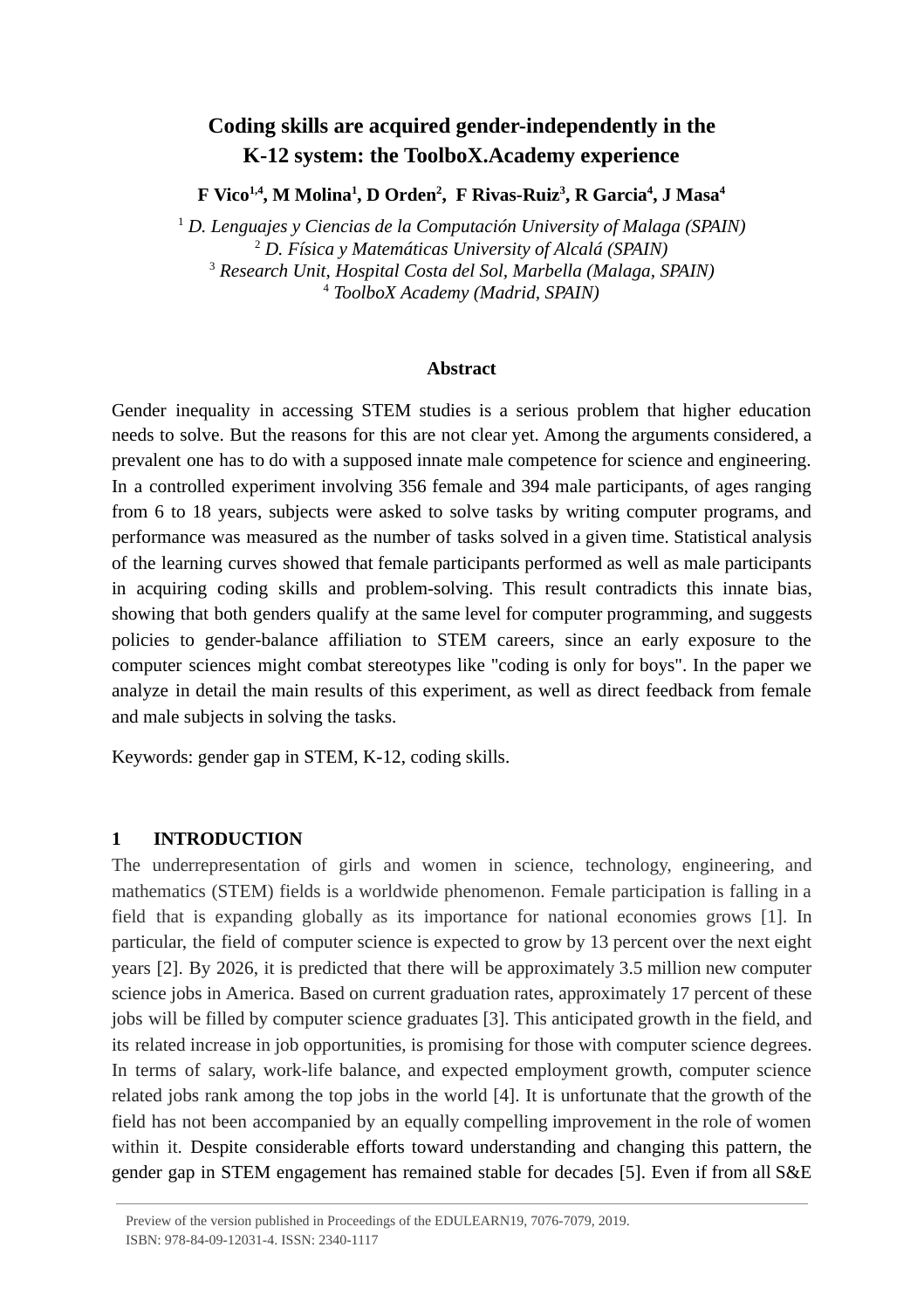# **Coding skills are acquired gender-independently in the K-12 system: the ToolboX.Academy experience**

**F Vico 1,4 , M Molina <sup>1</sup> , D Orden <sup>2</sup> , F Rivas-Ruiz <sup>3</sup> , R Garcia <sup>4</sup> , J Masa <sup>4</sup>**

<sup>1</sup> D. Lenguajes y Ciencias de la Computación University of Malaga (SPAIN) *D. Física y Matemáticas University of Alcalá (SPAIN) Research Unit, Hospital Costa del Sol, Marbella (Malaga, SPAIN) ToolboX Academy (Madrid, SPAIN)*

#### **Abstract**

Gender inequality in accessing STEM studies is a serious problem that higher education needs to solve. But the reasons for this are not clear yet. Among the arguments considered, a prevalent one has to do with a supposed innate male competence for science and engineering. In a controlled experiment involving 356 female and 394 male participants, of ages ranging from 6 to 18 years, subjects were asked to solve tasks by writing computer programs, and performance was measured as the number of tasks solved in a given time. Statistical analysis of the learning curves showed that female participants performed as well as male participants in acquiring coding skills and problem-solving. This result contradicts this innate bias, showing that both genders qualify at the same level for computer programming, and suggests policies to gender-balance affiliation to STEM careers, since an early exposure to the computer sciences might combat stereotypes like "coding is only for boys". In the paper we analyze in detail the main results of this experiment, as well as direct feedback from female and male subjects in solving the tasks.

Keywords: gender gap in STEM, K-12, coding skills.

### **1 INTRODUCTION**

The underrepresentation of girls and women in science, technology, engineering, and mathematics (STEM) fields is a worldwide phenomenon. Female participation is falling in a field that is expanding globally as its importance for national economies grows [1]. In particular, the field of computer science is expected to grow by 13 percent over the next eight years [2]. By 2026, it is predicted that there will be approximately 3.5 million new computer science jobs in America. Based on current graduation rates, approximately 17 percent of these jobs will be filled by computer science graduates [3]. This anticipated growth in the field, and its related increase in job opportunities, is promising for those with computer science degrees. In terms of salary, work-life balance, and expected employment growth, computer science related jobs rank among the top jobs in the world [4]. It is unfortunate that the growth of the field has not been accompanied by an equally compelling improvement in the role of women within it. Despite considerable efforts toward understanding and changing this pattern, the gender gap in STEM engagement has remained stable for decades [5]. Even if from all S&E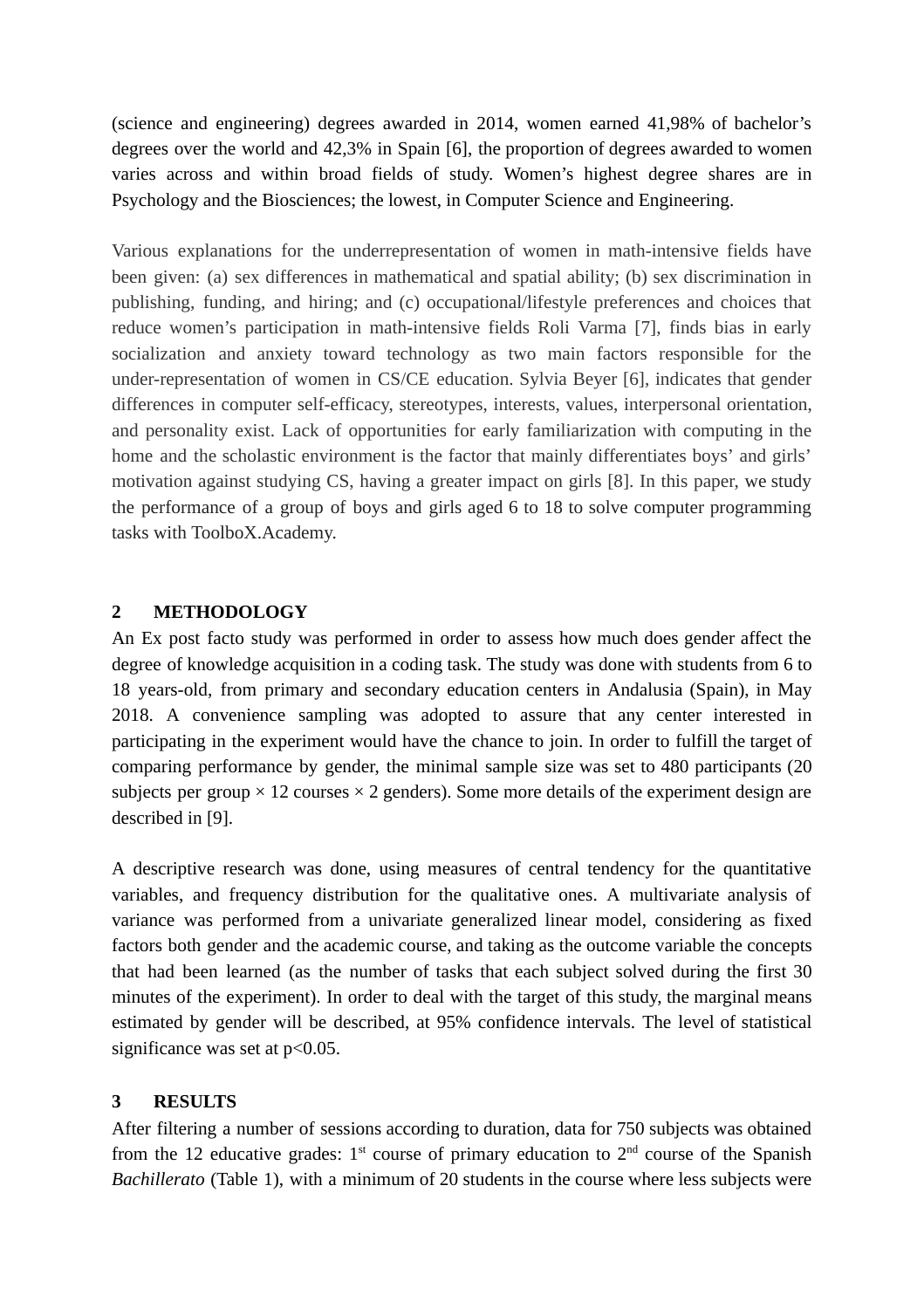(science and engineering) degrees awarded in 2014, women earned 41,98% of bachelor's degrees over the world and 42,3% in Spain [6], the proportion of degrees awarded to women varies across and within broad fields of study. Women's highest degree shares are in Psychology and the Biosciences; the lowest, in Computer Science and Engineering.

Various explanations for the underrepresentation of women in math-intensive fields have been given: (a) sex differences in mathematical and spatial ability; (b) sex discrimination in publishing, funding, and hiring; and (c) occupational/lifestyle preferences and choices that reduce women's participation in math-intensive fields Roli Varma [7], finds bias in early socialization and anxiety toward technology as two main factors responsible for the under-representation of women in CS/CE education. Sylvia Beyer [6], indicates that gender differences in computer self-efficacy, stereotypes, interests, values, interpersonal orientation, and personality exist. Lack of opportunities for early familiarization with computing in the home and the scholastic environment is the factor that mainly differentiates boys' and girls' motivation against studying CS, having a greater impact on girls [8]. In this paper, we study the performance of a group of boys and girls aged 6 to 18 to solve computer programming tasks with ToolboX.Academy.

## **2 METHODOLOGY**

An Ex post facto study was performed in order to assess how much does gender affect the degree of knowledge acquisition in a coding task. The study was done with students from 6 to 18 years-old, from primary and secondary education centers in Andalusia (Spain), in May 2018. A convenience sampling was adopted to assure that any center interested in participating in the experiment would have the chance to join. In order to fulfill the target of comparing performance by gender, the minimal sample size was set to 480 participants (20 subjects per group  $\times$  12 courses  $\times$  2 genders). Some more details of the experiment design are described in [9].

A descriptive research was done, using measures of central tendency for the quantitative variables, and frequency distribution for the qualitative ones. A multivariate analysis of variance was performed from a univariate generalized linear model, considering as fixed factors both gender and the academic course, and taking as the outcome variable the concepts that had been learned (as the number of tasks that each subject solved during the first 30 minutes of the experiment). In order to deal with the target of this study, the marginal means estimated by gender will be described, at 95% confidence intervals. The level of statistical significance was set at  $p<0.05$ .

# **3 RESULTS**

After filtering a number of sessions according to duration, data for 750 subjects was obtained from the 12 educative grades:  $1<sup>st</sup>$  course of primary education to  $2<sup>nd</sup>$  course of the Spanish *Bachillerato* (Table 1), with a minimum of 20 students in the course where less subjects were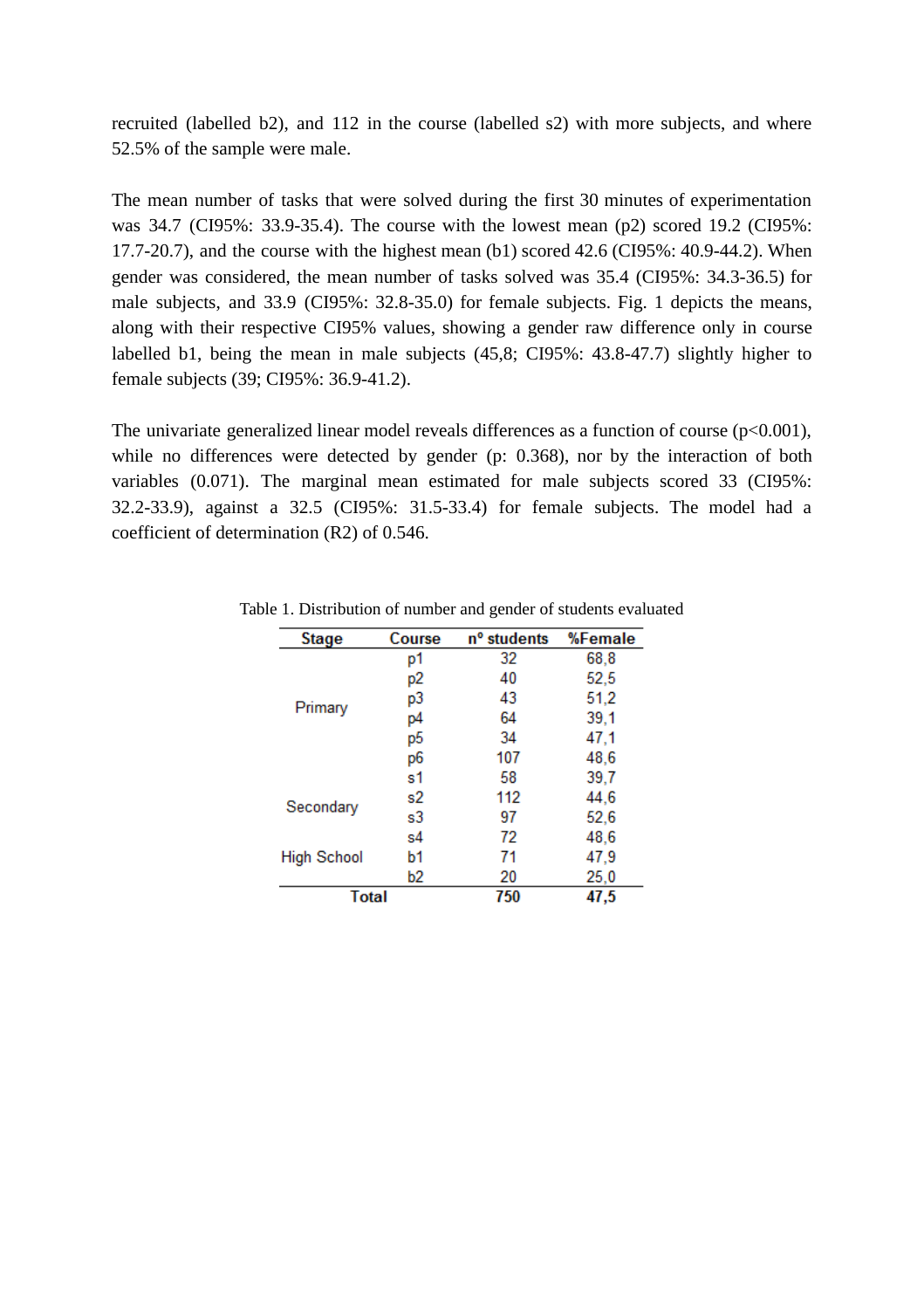recruited (labelled b2), and 112 in the course (labelled s2) with more subjects, and where 52.5% of the sample were male.

The mean number of tasks that were solved during the first 30 minutes of experimentation was 34.7 (CI95%: 33.9-35.4). The course with the lowest mean (p2) scored 19.2 (CI95%: 17.7-20.7), and the course with the highest mean (b1) scored 42.6 (CI95%: 40.9-44.2). When gender was considered, the mean number of tasks solved was 35.4 (CI95%: 34.3-36.5) for male subjects, and 33.9 (CI95%: 32.8-35.0) for female subjects. Fig. 1 depicts the means, along with their respective CI95% values, showing a gender raw difference only in course labelled b1, being the mean in male subjects (45,8; CI95%: 43.8-47.7) slightly higher to female subjects (39; CI95%: 36.9-41.2).

The univariate generalized linear model reveals differences as a function of course ( $p$ <0.001), while no differences were detected by gender (p: 0.368), nor by the interaction of both variables (0.071). The marginal mean estimated for male subjects scored 33 (CI95%: 32.2-33.9), against a 32.5 (CI95%: 31.5-33.4) for female subjects. The model had a coefficient of determination (R2) of 0.546.

| <b>Stage</b>       | Course | n <sup>o</sup> students | %Female |
|--------------------|--------|-------------------------|---------|
| Primary            | p1     | 32                      | 68,8    |
|                    | p2     | 40                      | 52,5    |
|                    | p3     | 43                      | 51,2    |
|                    | p4     | 64                      | 39,1    |
|                    | p5     | 34                      | 47.1    |
|                    | p6     | 107                     | 48,6    |
|                    | s1     | 58                      | 39,7    |
| Secondary          | s2     | 112                     | 44,6    |
|                    | s3     | 97                      | 52,6    |
| <b>High School</b> | s4     | 72                      | 48,6    |
|                    | b1     | 71                      | 47,9    |
|                    | b2     | 20                      | 25,0    |
| <b>Total</b>       |        | 750                     | 47,5    |

Table 1. Distribution of number and gender of students evaluated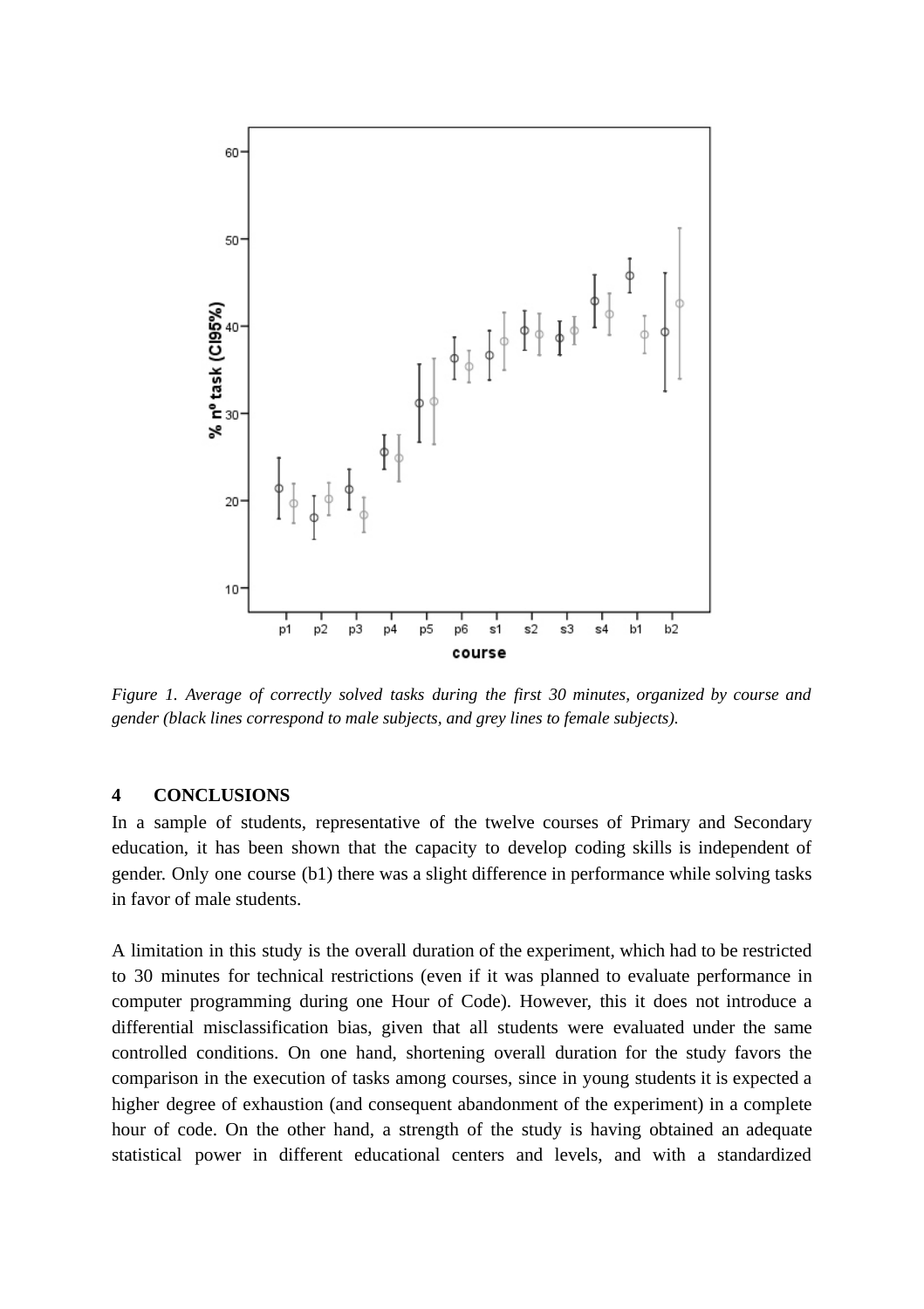

*Figure 1. Average of correctly solved tasks during the first 30 minutes, organized by course and gender (black lines correspond to male subjects, and grey lines to female subjects).*

#### **4 CONCLUSIONS**

In a sample of students, representative of the twelve courses of Primary and Secondary education, it has been shown that the capacity to develop coding skills is independent of gender. Only one course (b1) there was a slight difference in performance while solving tasks in favor of male students.

A limitation in this study is the overall duration of the experiment, which had to be restricted to 30 minutes for technical restrictions (even if it was planned to evaluate performance in computer programming during one Hour of Code). However, this it does not introduce a differential misclassification bias, given that all students were evaluated under the same controlled conditions. On one hand, shortening overall duration for the study favors the comparison in the execution of tasks among courses, since in young students it is expected a higher degree of exhaustion (and consequent abandonment of the experiment) in a complete hour of code. On the other hand, a strength of the study is having obtained an adequate statistical power in different educational centers and levels, and with a standardized